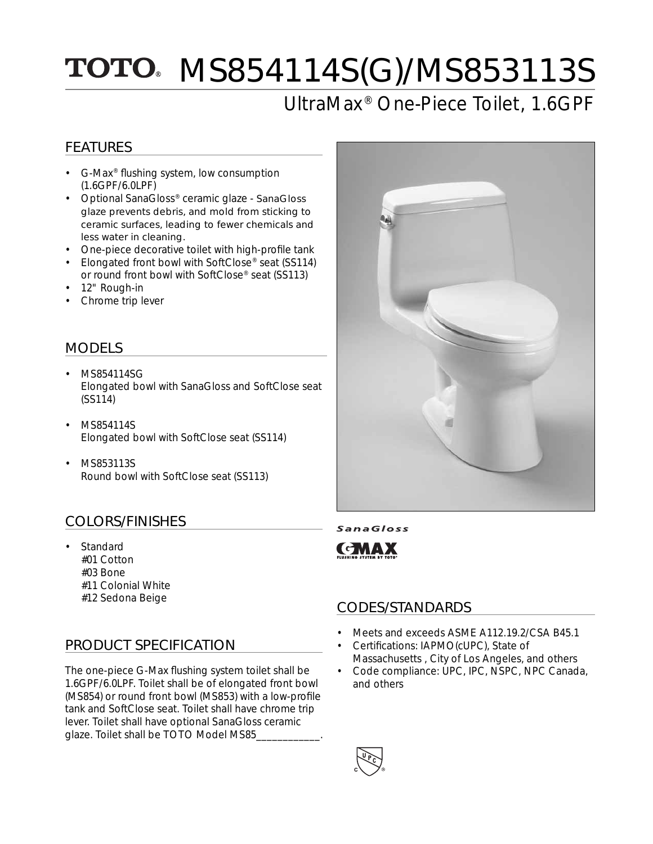# TOTO MS854114S(G)/MS853113S

## UltraMax® One-Piece Toilet, 1.6GPF

### FEATURES

- G-Max® flushing system, low consumption (1.6GPF/6.0LPF)
- Optional SanaGloss® ceramic glaze SanaGloss glaze prevents debris, and mold from sticking to ceramic surfaces, leading to fewer chemicals and less water in cleaning.
- One-piece decorative toilet with high-profile tank
- Elongated front bowl with SoftClose® seat (SS114) or round front bowl with SoftClose® seat (SS113)
- 12" Rough-in
- Chrome trip lever

### MODELS

- MS854114SG Elongated bowl with SanaGloss and SoftClose seat (SS114)
- MS854114S Elongated bowl with SoftClose seat (SS114)
- MS853113S Round bowl with SoftClose seat (SS113)

### COLORS/FINISHES

**Standard**  #01 Cotton #03 Bone #11 Colonial White

### PRODUCT SPECIFICATION

The one-piece G-Max flushing system toilet shall be 1.6GPF/6.0LPF. Toilet shall be of elongated front bowl (MS854) or round front bowl (MS853) with a low-profile tank and SoftClose seat. Toilet shall have chrome trip lever. Toilet shall have optional SanaGloss ceramic glaze. Toilet shall be TOTO Model MS85\_\_\_\_\_\_\_\_\_\_\_\_.



SanaGloss



### #12 Sedona Beige CODES/STANDARDS

- Meets and exceeds ASME A112.19.2/CSA B45.1
- Certifications: IAPMO(cUPC), State of Massachusetts , City of Los Angeles, and others
- Code compliance: UPC, IPC, NSPC, NPC Canada, and others